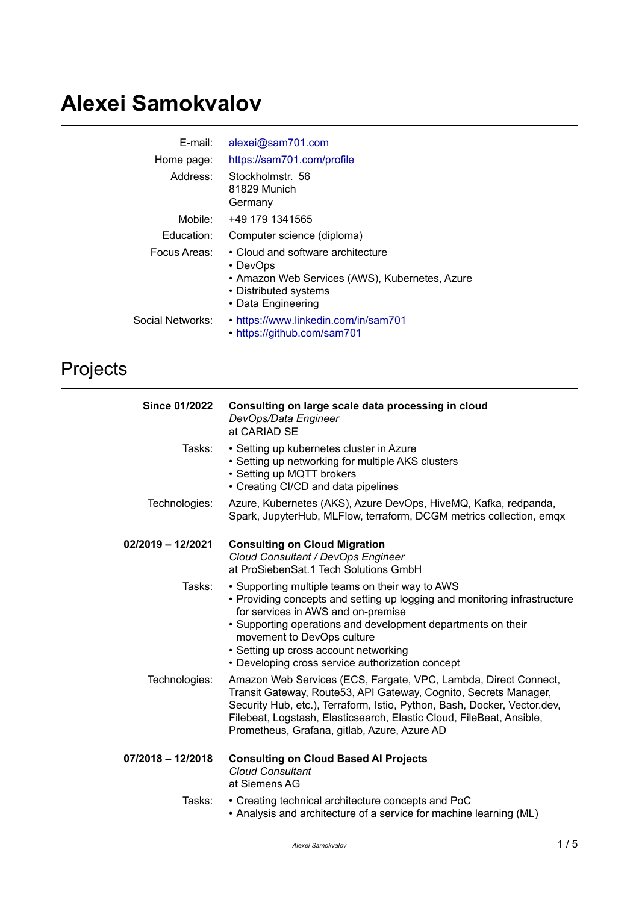# **Alexei Samokvalov**

| E-mail:          | alexei@sam701.com                                                                                                                              |
|------------------|------------------------------------------------------------------------------------------------------------------------------------------------|
| Home page:       | https://sam701.com/profile                                                                                                                     |
| Address:         | Stockholmstr. 56<br>81829 Munich<br>Germany                                                                                                    |
| Mobile: .        | +49 179 1341565                                                                                                                                |
| Education:       | Computer science (diploma)                                                                                                                     |
| Focus Areas:     | • Cloud and software architecture<br>• DevOps<br>• Amazon Web Services (AWS), Kubernetes, Azure<br>• Distributed systems<br>• Data Engineering |
| Social Networks: | • https://www.linkedin.com/in/sam701<br>• https://github.com/sam701                                                                            |

## Projects

| <b>Since 01/2022</b> | Consulting on large scale data processing in cloud<br>DevOps/Data Engineer<br>at CARIAD SE                                                                                                                                                                                                                                                                    |
|----------------------|---------------------------------------------------------------------------------------------------------------------------------------------------------------------------------------------------------------------------------------------------------------------------------------------------------------------------------------------------------------|
| Tasks:               | • Setting up kubernetes cluster in Azure<br>• Setting up networking for multiple AKS clusters<br>• Setting up MQTT brokers<br>• Creating CI/CD and data pipelines                                                                                                                                                                                             |
| Technologies:        | Azure, Kubernetes (AKS), Azure DevOps, HiveMQ, Kafka, redpanda,<br>Spark, JupyterHub, MLFlow, terraform, DCGM metrics collection, emqx                                                                                                                                                                                                                        |
| 02/2019 - 12/2021    | <b>Consulting on Cloud Migration</b><br>Cloud Consultant / DevOps Engineer<br>at ProSiebenSat.1 Tech Solutions GmbH                                                                                                                                                                                                                                           |
| Tasks:               | • Supporting multiple teams on their way to AWS<br>• Providing concepts and setting up logging and monitoring infrastructure<br>for services in AWS and on-premise<br>• Supporting operations and development departments on their<br>movement to DevOps culture<br>• Setting up cross account networking<br>• Developing cross service authorization concept |
| Technologies:        | Amazon Web Services (ECS, Fargate, VPC, Lambda, Direct Connect,<br>Transit Gateway, Route53, API Gateway, Cognito, Secrets Manager,<br>Security Hub, etc.), Terraform, Istio, Python, Bash, Docker, Vector.dev,<br>Filebeat, Logstash, Elasticsearch, Elastic Cloud, FileBeat, Ansible,<br>Prometheus, Grafana, gitlab, Azure, Azure AD                       |
| 07/2018 - 12/2018    | <b>Consulting on Cloud Based Al Projects</b><br><b>Cloud Consultant</b><br>at Siemens AG                                                                                                                                                                                                                                                                      |
| Tasks:               | • Creating technical architecture concepts and PoC<br>• Analysis and architecture of a service for machine learning (ML)                                                                                                                                                                                                                                      |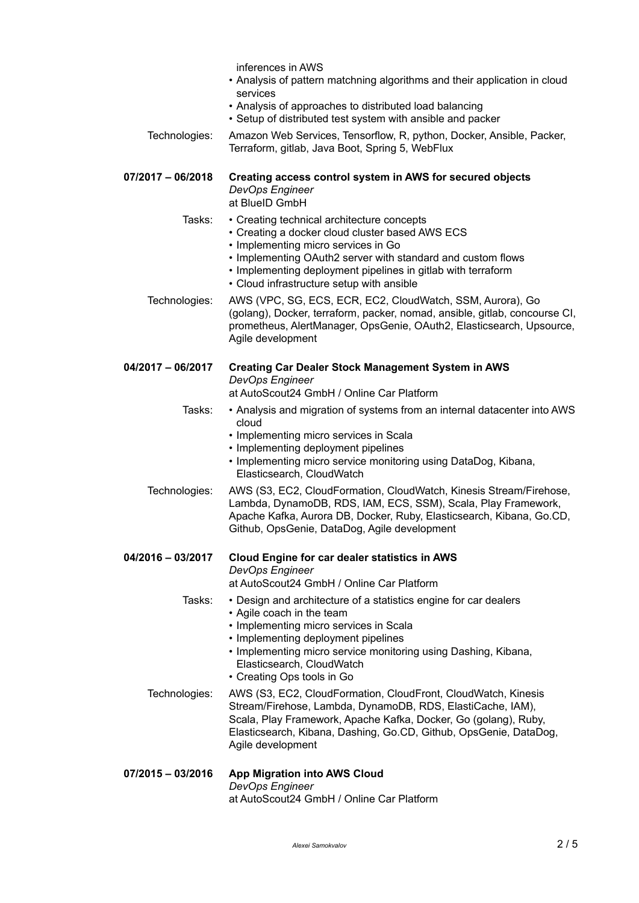|  | inferences in AWS |  |  |
|--|-------------------|--|--|
|--|-------------------|--|--|

- Analysis of pattern matchning algorithms and their application in cloud services
- Analysis of approaches to distributed load balancing
- Setup of distributed test system with ansible and packer
- Technologies: Amazon Web Services, Tensorflow, R, python, Docker, Ansible, Packer, Terraform, gitlab, Java Boot, Spring 5, WebFlux
- **07/2017 06/2018 Creating access control system in AWS for secured objects** *DevOps Engineer* at BlueID GmbH
	- Tasks: Creating technical architecture concepts
		- Creating a docker cloud cluster based AWS ECS
		- Implementing micro services in Go
		- Implementing OAuth2 server with standard and custom flows
		- Implementing deployment pipelines in gitlab with terraform
		- Cloud infrastructure setup with ansible
	- Technologies: AWS (VPC, SG, ECS, ECR, EC2, CloudWatch, SSM, Aurora), Go (golang), Docker, terraform, packer, nomad, ansible, gitlab, concourse CI, prometheus, AlertManager, OpsGenie, OAuth2, Elasticsearch, Upsource, Agile development

### **04/2017 – 06/2017 Creating Car Dealer Stock Management System in AWS** *DevOps Engineer*

at AutoScout24 GmbH / Online Car Platform

- Tasks: Analysis and migration of systems from an internal datacenter into AWS cloud
	- Implementing micro services in Scala
	- Implementing deployment pipelines
	- Implementing micro service monitoring using DataDog, Kibana, Elasticsearch, CloudWatch
- Technologies: AWS (S3, EC2, CloudFormation, CloudWatch, Kinesis Stream/Firehose, Lambda, DynamoDB, RDS, IAM, ECS, SSM), Scala, Play Framework, Apache Kafka, Aurora DB, Docker, Ruby, Elasticsearch, Kibana, Go.CD, Github, OpsGenie, DataDog, Agile development

#### **04/2016 – 03/2017 Cloud Engine for car dealer statistics in AWS** *DevOps Engineer*

at AutoScout24 GmbH / Online Car Platform

Tasks: • Design and architecture of a statistics engine for car dealers

- Agile coach in the team
- Implementing micro services in Scala
- Implementing deployment pipelines
- Implementing micro service monitoring using Dashing, Kibana, Elasticsearch, CloudWatch
- Creating Ops tools in Go
- Technologies: AWS (S3, EC2, CloudFormation, CloudFront, CloudWatch, Kinesis Stream/Firehose, Lambda, DynamoDB, RDS, ElastiCache, IAM), Scala, Play Framework, Apache Kafka, Docker, Go (golang), Ruby, Elasticsearch, Kibana, Dashing, Go.CD, Github, OpsGenie, DataDog, Agile development
- **07/2015 03/2016 App Migration into AWS Cloud** *DevOps Engineer* at AutoScout24 GmbH / Online Car Platform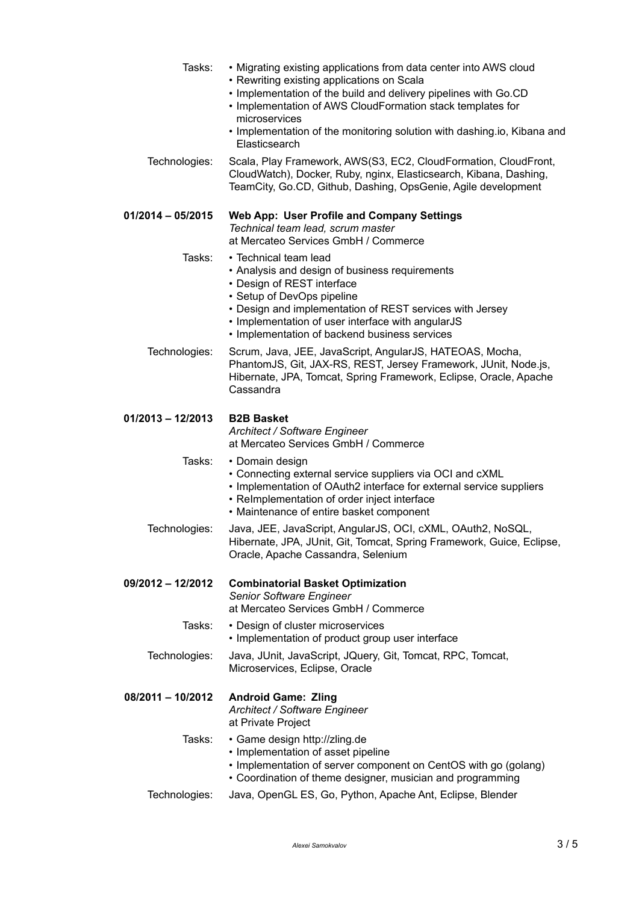| Tasks:            | • Migrating existing applications from data center into AWS cloud<br>• Rewriting existing applications on Scala<br>. Implementation of the build and delivery pipelines with Go.CD<br>• Implementation of AWS CloudFormation stack templates for<br>microservices<br>. Implementation of the monitoring solution with dashing.io, Kibana and<br>Elasticsearch |
|-------------------|---------------------------------------------------------------------------------------------------------------------------------------------------------------------------------------------------------------------------------------------------------------------------------------------------------------------------------------------------------------|
| Technologies:     | Scala, Play Framework, AWS(S3, EC2, CloudFormation, CloudFront,<br>CloudWatch), Docker, Ruby, nginx, Elasticsearch, Kibana, Dashing,<br>TeamCity, Go.CD, Github, Dashing, OpsGenie, Agile development                                                                                                                                                         |
| 01/2014 - 05/2015 | <b>Web App: User Profile and Company Settings</b><br>Technical team lead, scrum master<br>at Mercateo Services GmbH / Commerce                                                                                                                                                                                                                                |
| Tasks:            | • Technical team lead<br>• Analysis and design of business requirements<br>• Design of REST interface<br>• Setup of DevOps pipeline<br>• Design and implementation of REST services with Jersey<br>• Implementation of user interface with angularJS<br>• Implementation of backend business services                                                         |
| Technologies:     | Scrum, Java, JEE, JavaScript, AngularJS, HATEOAS, Mocha,<br>PhantomJS, Git, JAX-RS, REST, Jersey Framework, JUnit, Node.js,<br>Hibernate, JPA, Tomcat, Spring Framework, Eclipse, Oracle, Apache<br>Cassandra                                                                                                                                                 |
| 01/2013 - 12/2013 | <b>B2B Basket</b><br>Architect / Software Engineer<br>at Mercateo Services GmbH / Commerce                                                                                                                                                                                                                                                                    |
| Tasks:            | • Domain design<br>• Connecting external service suppliers via OCI and cXML<br>• Implementation of OAuth2 interface for external service suppliers<br>• ReImplementation of order inject interface<br>• Maintenance of entire basket component                                                                                                                |
| Technologies:     | Java, JEE, JavaScript, AngularJS, OCI, cXML, OAuth2, NoSQL,<br>Hibernate, JPA, JUnit, Git, Tomcat, Spring Framework, Guice, Eclipse,<br>Oracle, Apache Cassandra, Selenium                                                                                                                                                                                    |
| 09/2012 – 12/2012 | <b>Combinatorial Basket Optimization</b><br>Senior Software Engineer<br>at Mercateo Services GmbH / Commerce                                                                                                                                                                                                                                                  |
| Tasks:            | • Design of cluster microservices<br>• Implementation of product group user interface                                                                                                                                                                                                                                                                         |
| Technologies:     | Java, JUnit, JavaScript, JQuery, Git, Tomcat, RPC, Tomcat,<br>Microservices, Eclipse, Oracle                                                                                                                                                                                                                                                                  |
| 08/2011 - 10/2012 | <b>Android Game: Zling</b><br>Architect / Software Engineer<br>at Private Project                                                                                                                                                                                                                                                                             |
| Tasks:            | • Game design http://zling.de<br>• Implementation of asset pipeline<br>• Implementation of server component on CentOS with go (golang)<br>• Coordination of theme designer, musician and programming                                                                                                                                                          |
| Technologies:     | Java, OpenGL ES, Go, Python, Apache Ant, Eclipse, Blender                                                                                                                                                                                                                                                                                                     |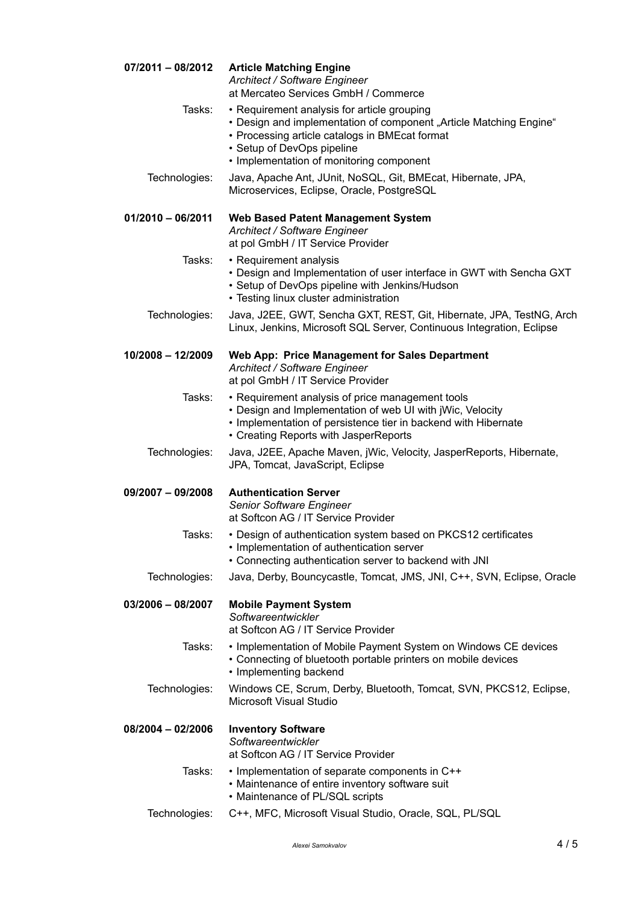| $07/2011 - 08/2012$ | <b>Article Matching Engine</b><br>Architect / Software Engineer<br>at Mercateo Services GmbH / Commerce                                                                                                                                       |
|---------------------|-----------------------------------------------------------------------------------------------------------------------------------------------------------------------------------------------------------------------------------------------|
| Tasks:              | • Requirement analysis for article grouping<br>• Design and implementation of component "Article Matching Engine"<br>• Processing article catalogs in BMEcat format<br>• Setup of DevOps pipeline<br>• Implementation of monitoring component |
| Technologies:       | Java, Apache Ant, JUnit, NoSQL, Git, BMEcat, Hibernate, JPA,<br>Microservices, Eclipse, Oracle, PostgreSQL                                                                                                                                    |
| $01/2010 - 06/2011$ | <b>Web Based Patent Management System</b><br>Architect / Software Engineer<br>at pol GmbH / IT Service Provider                                                                                                                               |
| Tasks:              | • Requirement analysis<br>• Design and Implementation of user interface in GWT with Sencha GXT<br>• Setup of DevOps pipeline with Jenkins/Hudson<br>• Testing linux cluster administration                                                    |
| Technologies:       | Java, J2EE, GWT, Sencha GXT, REST, Git, Hibernate, JPA, TestNG, Arch<br>Linux, Jenkins, Microsoft SQL Server, Continuous Integration, Eclipse                                                                                                 |
| $10/2008 - 12/2009$ | Web App: Price Management for Sales Department<br>Architect / Software Engineer<br>at pol GmbH / IT Service Provider                                                                                                                          |
| Tasks:              | • Requirement analysis of price management tools<br>• Design and Implementation of web UI with jWic, Velocity<br>• Implementation of persistence tier in backend with Hibernate<br>• Creating Reports with JasperReports                      |
| Technologies:       | Java, J2EE, Apache Maven, jWic, Velocity, JasperReports, Hibernate,<br>JPA, Tomcat, JavaScript, Eclipse                                                                                                                                       |
| 09/2007 - 09/2008   | <b>Authentication Server</b><br>Senior Software Engineer<br>at Softcon AG / IT Service Provider                                                                                                                                               |
| Tasks:              | • Design of authentication system based on PKCS12 certificates<br>• Implementation of authentication server<br>• Connecting authentication server to backend with JNI                                                                         |
| Technologies:       | Java, Derby, Bouncycastle, Tomcat, JMS, JNI, C++, SVN, Eclipse, Oracle                                                                                                                                                                        |
| $03/2006 - 08/2007$ | <b>Mobile Payment System</b><br>Softwareentwickler<br>at Softcon AG / IT Service Provider                                                                                                                                                     |
| Tasks:              | • Implementation of Mobile Payment System on Windows CE devices<br>• Connecting of bluetooth portable printers on mobile devices<br>• Implementing backend                                                                                    |
| Technologies:       | Windows CE, Scrum, Derby, Bluetooth, Tomcat, SVN, PKCS12, Eclipse,<br><b>Microsoft Visual Studio</b>                                                                                                                                          |
| 08/2004 - 02/2006   | <b>Inventory Software</b><br>Softwareentwickler<br>at Softcon AG / IT Service Provider                                                                                                                                                        |
| Tasks:              | • Implementation of separate components in C++<br>• Maintenance of entire inventory software suit<br>• Maintenance of PL/SQL scripts                                                                                                          |
| Technologies:       | C++, MFC, Microsoft Visual Studio, Oracle, SQL, PL/SQL                                                                                                                                                                                        |